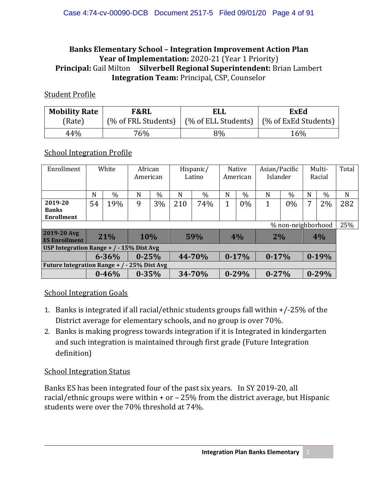#### **Banks Elementary School – Integration Improvement Action Plan** Year of Implementation: 2020-21 (Year 1 Priority) **Principal:** Gail Milton **Silverbell Regional Superintendent:** Brian Lambert **Integration Team:** Principal, CSP, Counselor

#### Student Profile

| <b>Mobility Rate</b> | <b>F&amp;RL</b> | <b>ELL</b>                                | <b>ExEd</b>          |  |  |  |
|----------------------|-----------------|-------------------------------------------|----------------------|--|--|--|
| (Rate)               |                 | (% of FRL Students)   (% of ELL Students) | (% of ExEd Students) |  |  |  |
| 44%                  | 76%             | 8%                                        | 16%                  |  |  |  |

#### School Integration Profile

| Enrollment                                           | White |                        | African<br>American |        | Hispanic/<br>Latino |               | <b>Native</b><br>American |         | Asian/Pacific<br>Islander |               | Multi-<br>Racial |               | Total |
|------------------------------------------------------|-------|------------------------|---------------------|--------|---------------------|---------------|---------------------------|---------|---------------------------|---------------|------------------|---------------|-------|
|                                                      | N     | $\%$                   | N                   | $\%$   | N                   | $\frac{0}{0}$ | N                         | $\%$    | N                         | $\frac{0}{0}$ | N                | $\frac{0}{0}$ | N     |
| 2019-20<br><b>Banks</b><br><b>Enrollment</b>         | 54    | 19%                    | 9                   | 3%     | 210                 | 74%           | 1                         | $0\%$   | 1                         | $0\%$         | 7                | 2%            | 282   |
| % non-neighborhood                                   |       |                        |                     |        |                     |               |                           |         |                           |               |                  |               | 25%   |
| 2019-20 Avg<br><b>ES Enrollment</b>                  | 21%   |                        | 10%                 |        | 59%                 |               | 4%                        |         | 2%                        |               | 4%               |               |       |
| USP Integration Range $+$ / $-$ 15% Dist Avg         |       |                        |                     |        |                     |               |                           |         |                           |               |                  |               |       |
|                                                      |       | $0 - 25%$<br>$6 - 36%$ |                     | 44-70% |                     | $0-17%$       |                           | $0-17%$ |                           | $0-19%$       |                  |               |       |
| <b>Future Integration Range +</b><br>$-25%$ Dist Avg |       |                        |                     |        |                     |               |                           |         |                           |               |                  |               |       |
|                                                      |       | $0 - 46%$              | $0 - 35%$           |        | 34-70%              |               | $0 - 29%$                 |         | $0 - 27%$                 |               | $0 - 29%$        |               |       |

#### School Integration Goals

- 1. Banks is integrated if all racial/ethnic students groups fall within +/-25% of the District average for elementary schools, and no group is over 70%.
- 2. Banks is making progress towards integration if it is Integrated in kindergarten and such integration is maintained through first grade (Future Integration definition)

#### School Integration Status

Banks ES has been integrated four of the past six years. In SY 2019-20, all racial/ethnic groups were within + or – 25% from the district average, but Hispanic students were over the 70% threshold at 74%.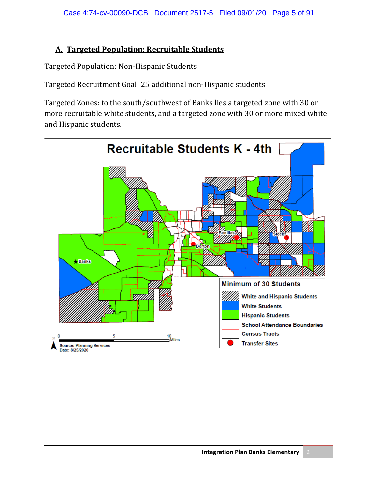#### **A. Targeted Population; Recruitable Students**

Targeted Population: Non-Hispanic Students

Targeted Recruitment Goal: 25 additional non-Hispanic students

Targeted Zones: to the south/southwest of Banks lies a targeted zone with 30 or more recruitable white students, and a targeted zone with 30 or more mixed white and Hispanic students.

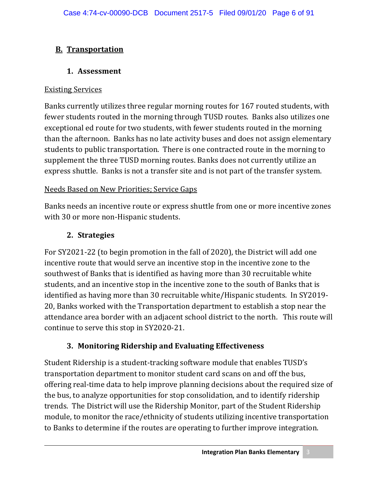# **B. Transportation**

## **1. Assessment**

### Existing Services

Banks currently utilizes three regular morning routes for 167 routed students, with fewer students routed in the morning through TUSD routes. Banks also utilizes one exceptional ed route for two students, with fewer students routed in the morning than the afternoon. Banks has no late activity buses and does not assign elementary students to public transportation. There is one contracted route in the morning to supplement the three TUSD morning routes. Banks does not currently utilize an express shuttle. Banks is not a transfer site and is not part of the transfer system.

## Needs Based on New Priorities; Service Gaps

Banks needs an incentive route or express shuttle from one or more incentive zones with 30 or more non-Hispanic students.

# **2. Strategies**

For SY2021-22 (to begin promotion in the fall of 2020), the District will add one incentive route that would serve an incentive stop in the incentive zone to the southwest of Banks that is identified as having more than 30 recruitable white students, and an incentive stop in the incentive zone to the south of Banks that is identified as having more than 30 recruitable white/Hispanic students. In SY2019- 20, Banks worked with the Transportation department to establish a stop near the attendance area border with an adjacent school district to the north. This route will continue to serve this stop in SY2020-21.

# **3. Monitoring Ridership and Evaluating Effectiveness**

Student Ridership is a student-tracking software module that enables TUSD's transportation department to monitor student card scans on and off the bus, offering real-time data to help improve planning decisions about the required size of the bus, to analyze opportunities for stop consolidation, and to identify ridership trends. The District will use the Ridership Monitor, part of the Student Ridership module, to monitor the race/ethnicity of students utilizing incentive transportation to Banks to determine if the routes are operating to further improve integration.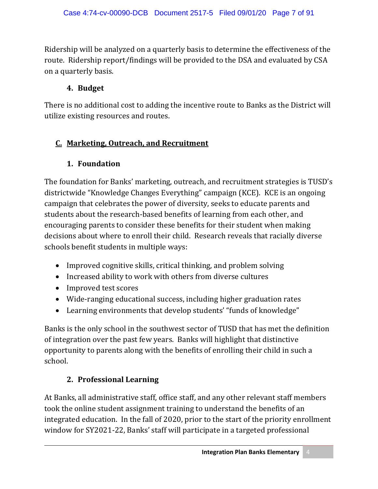Ridership will be analyzed on a quarterly basis to determine the effectiveness of the route. Ridership report/findings will be provided to the DSA and evaluated by CSA on a quarterly basis.

### **4. Budget**

There is no additional cost to adding the incentive route to Banks as the District will utilize existing resources and routes.

## **C. Marketing, Outreach, and Recruitment**

#### **1. Foundation**

The foundation for Banks' marketing, outreach, and recruitment strategies is TUSD's districtwide "Knowledge Changes Everything" campaign (KCE). KCE is an ongoing campaign that celebrates the power of diversity, seeks to educate parents and students about the research-based benefits of learning from each other, and encouraging parents to consider these benefits for their student when making decisions about where to enroll their child. Research reveals that racially diverse schools benefit students in multiple ways:

- Improved cognitive skills, critical thinking, and problem solving
- Increased ability to work with others from diverse cultures
- Improved test scores
- Wide-ranging educational success, including higher graduation rates
- Learning environments that develop students' "funds of knowledge"

Banks is the only school in the southwest sector of TUSD that has met the definition of integration over the past few years. Banks will highlight that distinctive opportunity to parents along with the benefits of enrolling their child in such a school.

## **2. Professional Learning**

At Banks, all administrative staff, office staff, and any other relevant staff members took the online student assignment training to understand the benefits of an integrated education. In the fall of 2020, prior to the start of the priority enrollment window for SY2021-22, Banks' staff will participate in a targeted professional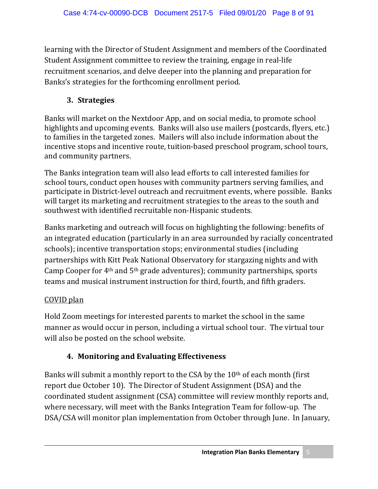learning with the Director of Student Assignment and members of the Coordinated Student Assignment committee to review the training, engage in real-life recruitment scenarios, and delve deeper into the planning and preparation for Banks's strategies for the forthcoming enrollment period.

## **3. Strategies**

Banks will market on the Nextdoor App, and on social media, to promote school highlights and upcoming events. Banks will also use mailers (postcards, flyers, etc.) to families in the targeted zones. Mailers will also include information about the incentive stops and incentive route, tuition-based preschool program, school tours, and community partners.

The Banks integration team will also lead efforts to call interested families for school tours, conduct open houses with community partners serving families, and participate in District-level outreach and recruitment events, where possible. Banks will target its marketing and recruitment strategies to the areas to the south and southwest with identified recruitable non-Hispanic students.

Banks marketing and outreach will focus on highlighting the following: benefits of an integrated education (particularly in an area surrounded by racially concentrated schools); incentive transportation stops; environmental studies (including partnerships with Kitt Peak National Observatory for stargazing nights and with Camp Cooper for 4th and 5th grade adventures); community partnerships, sports teams and musical instrument instruction for third, fourth, and fifth graders.

# COVID plan

Hold Zoom meetings for interested parents to market the school in the same manner as would occur in person, including a virtual school tour. The virtual tour will also be posted on the school website.

# **4. Monitoring and Evaluating Effectiveness**

Banks will submit a monthly report to the CSA by the 10th of each month (first report due October 10). The Director of Student Assignment (DSA) and the coordinated student assignment (CSA) committee will review monthly reports and, where necessary, will meet with the Banks Integration Team for follow-up. The DSA/CSA will monitor plan implementation from October through June. In January,